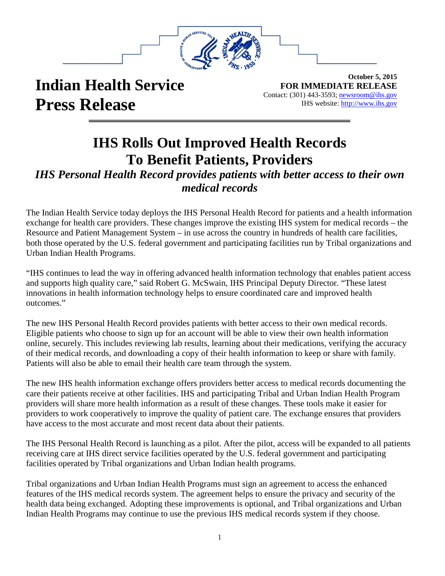

## **Indian Health Service Press Release**

**October 5, 2015 FOR IMMEDIATE RELEASE** Contact: (301) 443-3593; newsroom@ihs.gov IHS website: [http://www.ihs.gov](http://www.ihs.gov/) 

## **IHS Rolls Out Improved Health Records To Benefit Patients, Providers**

## *IHS Personal Health Record provides patients with better access to their own medical records*

The Indian Health Service today deploys the IHS Personal Health Record for patients and a health information exchange for health care providers. These changes improve the existing IHS system for medical records – the Resource and Patient Management System – in use across the country in hundreds of health care facilities, both those operated by the U.S. federal government and participating facilities run by Tribal organizations and Urban Indian Health Programs.

"IHS continues to lead the way in offering advanced health information technology that enables patient access and supports high quality care," said Robert G. McSwain, IHS Principal Deputy Director. "These latest innovations in health information technology helps to ensure coordinated care and improved health outcomes."

The new IHS Personal Health Record provides patients with better access to their own medical records. Eligible patients who choose to sign up for an account will be able to view their own health information online, securely. This includes reviewing lab results, learning about their medications, verifying the accuracy of their medical records, and downloading a copy of their health information to keep or share with family. Patients will also be able to email their health care team through the system.

The new IHS health information exchange offers providers better access to medical records documenting the care their patients receive at other facilities. IHS and participating Tribal and Urban Indian Health Program providers will share more health information as a result of these changes. These tools make it easier for providers to work cooperatively to improve the quality of patient care. The exchange ensures that providers have access to the most accurate and most recent data about their patients.

The IHS Personal Health Record is launching as a pilot. After the pilot, access will be expanded to all patients receiving care at IHS direct service facilities operated by the U.S. federal government and participating facilities operated by Tribal organizations and Urban Indian health programs.

Tribal organizations and Urban Indian Health Programs must sign an agreement to access the enhanced features of the IHS medical records system. The agreement helps to ensure the privacy and security of the health data being exchanged. Adopting these improvements is optional, and Tribal organizations and Urban Indian Health Programs may continue to use the previous IHS medical records system if they choose.